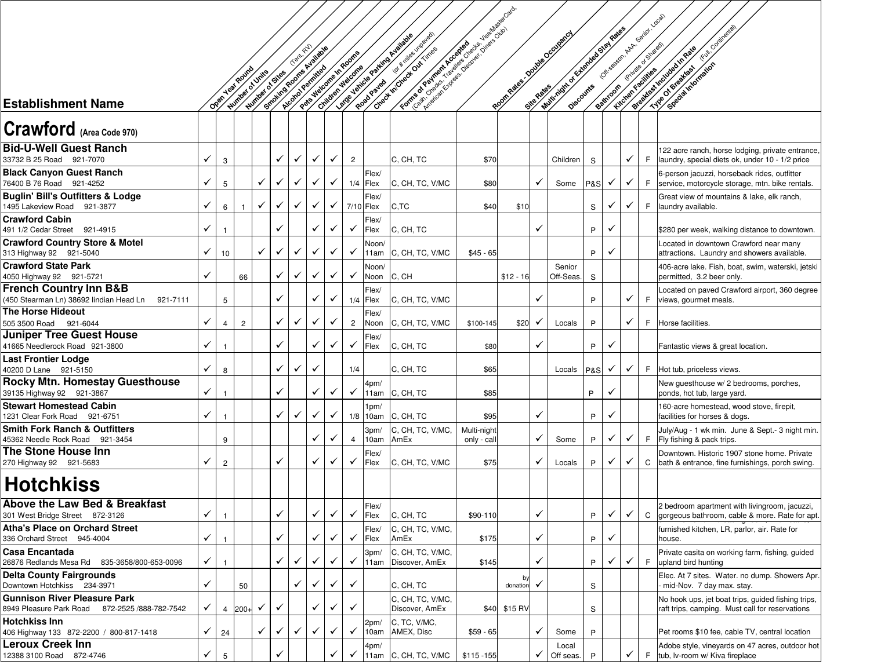|                                                                                          |              |                 |                |                 |                         |   |              |              |                                           |                     | Force of Order Reprise to the process of the contract of the contract of the contract of the contract of the |                            |                                 |              |                                  |                |              |                                                        |    |                                                                                                       |
|------------------------------------------------------------------------------------------|--------------|-----------------|----------------|-----------------|-------------------------|---|--------------|--------------|-------------------------------------------|---------------------|--------------------------------------------------------------------------------------------------------------|----------------------------|---------------------------------|--------------|----------------------------------|----------------|--------------|--------------------------------------------------------|----|-------------------------------------------------------------------------------------------------------|
|                                                                                          |              |                 |                |                 |                         |   |              |              |                                           |                     |                                                                                                              |                            |                                 |              | William of Cheese Basil Research |                |              | Office@on.network.com                                  |    |                                                                                                       |
|                                                                                          |              |                 |                |                 |                         |   |              |              |                                           |                     | Ior with des unoaled<br>Latitude Painting Assembly                                                           |                            | <b>POOT ROBBS - OPINIBATION</b> |              |                                  |                |              |                                                        |    | Etativentel                                                                                           |
|                                                                                          |              |                 |                |                 |                         |   |              |              |                                           |                     |                                                                                                              |                            |                                 |              |                                  |                |              |                                                        |    |                                                                                                       |
|                                                                                          |              |                 |                |                 |                         |   |              |              |                                           |                     |                                                                                                              |                            |                                 |              |                                  |                |              |                                                        |    |                                                                                                       |
|                                                                                          |              |                 |                |                 |                         |   |              |              |                                           |                     |                                                                                                              |                            |                                 |              |                                  |                |              |                                                        |    |                                                                                                       |
|                                                                                          |              | Open year Round |                | Winter of Units |                         |   |              |              |                                           |                     |                                                                                                              |                            |                                 |              |                                  |                |              |                                                        |    | SPROTEINT MAIL OF                                                                                     |
| <b>Establishment Name</b>                                                                |              |                 |                | Winney o Sites  | Small of the projection |   |              |              | Passive discrete discrete<br>Oxider water |                     | Cheest McChest Ost (mess                                                                                     |                            |                                 |              |                                  |                |              | <b>Battlebook River Broadcaster</b><br>Lucite Franklin |    | Procedure of the Manufacture of the Case of                                                           |
| Crawford (Area Code 970)                                                                 |              |                 |                |                 |                         |   |              |              |                                           |                     |                                                                                                              |                            |                                 |              |                                  |                |              |                                                        |    |                                                                                                       |
| <b>Bid-U-Well Guest Ranch</b><br>33732 B 25 Road 921-7070                                | ✓            | 3               |                |                 | $\checkmark$            | ✓ | $\checkmark$ | ✓            | $\overline{2}$                            |                     | C, CH, TC                                                                                                    | \$70                       |                                 |              | Children                         | S              |              | ✓                                                      | F  | 122 acre ranch, horse lodging, private entrance<br>laundry, special diets ok, under 10 - 1/2 price    |
| <b>Black Canyon Guest Ranch</b><br>76400 B 76 Road 921-4252                              | ✓            | 5               |                | ✓               | ✓                       | ✓ | ✓            |              |                                           | Flex/<br>$1/4$ Flex | C, CH, TC, V/MC                                                                                              | \$80                       |                                 | $\checkmark$ | Some                             | <b>P&amp;S</b> | ✓            | ✓                                                      | F. | 6-person jacuzzi, horseback rides, outfitter<br>service, motorcycle storage, mtn. bike rentals.       |
| <b>Buglin' Bill's Outfitters &amp; Lodge</b><br>1495 Lakeview Road 921-3877              | ✓            | 6               |                | ✓               | $\checkmark$            | ✓ | ✓            | ✓            | 7/10 Flex                                 | Flex/               | C,TC                                                                                                         | \$40                       | \$10                            |              |                                  | S              | ✓            | ✓                                                      | F  | Great view of mountains & lake, elk ranch,<br>laundry available.                                      |
| <b>Crawford Cabin</b><br>491 1/2 Cedar Street 921-4915                                   | ✓            |                 |                |                 |                         |   | ✓            |              | ✓                                         | Flex/<br>Flex       | C, CH, TC                                                                                                    |                            |                                 | ✓            |                                  | P              | $\checkmark$ |                                                        |    | \$280 per week, walking distance to downtown.                                                         |
| <b>Crawford Country Store &amp; Motel</b><br>313 Highway 92 921-5040                     | ✓            | 10              |                | ✓               | $\checkmark$            | ✓ | ✓            |              | ✓                                         | Noon/<br>11am       | C, CH, TC, V/MC                                                                                              | $$45 - 65$                 |                                 |              |                                  | P              | ✓            |                                                        |    | Located in downtown Crawford near many<br>attractions. Laundry and showers available.                 |
| <b>Crawford State Park</b><br>4050 Highway 92 921-5721                                   | ✓            |                 | 66             |                 | ✓                       | ✓ | ✓            |              | ✓                                         | Noon/<br>Noon       | C, CH                                                                                                        |                            | $$12 - 16$                      |              | Senior<br>Off-Seas.              | S              |              |                                                        |    | 406-acre lake. Fish, boat, swim, waterski, jetski<br>permitted, 3.2 beer only.                        |
| <b>French Country Inn B&amp;B</b><br>(450 Stearman Ln) 38692 lindian Head Ln<br>921-7111 |              | 5               |                |                 | ✓                       |   | ✓            |              |                                           | Flex/<br>$1/4$ Flex | C, CH, TC, V/MC                                                                                              |                            |                                 | ✓            |                                  | P              |              | ✓                                                      | F. | Located on paved Crawford airport, 360 degree<br>views, gourmet meals.                                |
| <b>The Horse Hideout</b>                                                                 |              |                 |                |                 | $\checkmark$            |   |              |              |                                           | Flex/               |                                                                                                              |                            |                                 |              |                                  |                |              |                                                        |    |                                                                                                       |
| 505 3500 Road 921-6044<br><b>Juniper Tree Guest House</b>                                | ✓            | $\overline{4}$  | $\overline{c}$ |                 |                         | ✓ | ✓            |              | $\overline{2}$                            | Noon                | C, CH, TC, V/MC                                                                                              | \$100-145                  | \$20                            | $\checkmark$ | Locals                           | P              |              | ✓                                                      |    | F Horse facilities.                                                                                   |
| 41665 Needlerock Road 921-3800                                                           | ✓            | -1              |                |                 | $\checkmark$            |   | ✓            |              | ✓                                         | Flex/<br>Flex       | C, CH, TC                                                                                                    | \$80                       |                                 | ✓            |                                  | P              | ✓            |                                                        |    | Fantastic views & great location.                                                                     |
| Last Frontier Lodge                                                                      |              |                 |                |                 |                         |   |              |              |                                           |                     |                                                                                                              |                            |                                 |              |                                  |                |              |                                                        |    |                                                                                                       |
| 40200 D Lane 921-5150                                                                    | ✓            | 8               |                |                 | $\checkmark$            | ✓ | $\checkmark$ |              | 1/4                                       |                     | C, CH, TC                                                                                                    | \$65                       |                                 |              | Locals                           | <b>P&amp;S</b> | ✓            | ✓                                                      |    | F Hot tub, priceless views.                                                                           |
| <b>Rocky Mtn. Homestay Guesthouse</b><br>39135 Highway 92 921-3867                       | ✓            | $\mathbf{1}$    |                |                 | ✓                       |   | ✓            |              | ✓                                         | 4pm/<br>11am        | C, CH, TC                                                                                                    | \$85                       |                                 |              |                                  | P              | ✓            |                                                        |    | New guesthouse w/ 2 bedrooms, porches,<br>ponds, hot tub, large yard.                                 |
| <b>Stewart Homestead Cabin</b>                                                           |              |                 |                |                 |                         |   |              |              |                                           | 1pm/                |                                                                                                              |                            |                                 |              |                                  |                |              |                                                        |    | 160-acre homestead, wood stove, firepit,                                                              |
| 1231 Clear Fork Road 921-6751                                                            | ✓            |                 |                |                 | $\checkmark$            | ✓ | ✓            | $\checkmark$ |                                           | $1/8$ 10am          | C, CH, TC                                                                                                    | \$95                       |                                 | ✓            |                                  | P              | $\checkmark$ |                                                        |    | facilities for horses & dogs.                                                                         |
| Smith Fork Ranch & Outfitters<br>45362 Needle Rock Road 921-3454                         |              | 9               |                |                 |                         |   | ✓            |              | $\overline{4}$                            | 3pm/<br>10am        | C, CH, TC, V/MC,<br>AmEx                                                                                     | Multi-night<br>only - call |                                 | ✓            | Some                             | P              | $\checkmark$ | ✓                                                      |    | July/Aug - 1 wk min. June & Sept.- 3 night min<br>F Fly fishing & pack trips.                         |
| The Stone House Inn<br>270 Highway 92 921-5683                                           | ✓            | $\overline{c}$  |                |                 | ✓                       |   | $\checkmark$ |              | ✓                                         | Flex/<br>Flex       | C, CH, TC, V/MC                                                                                              | \$75                       |                                 | ✓            | Locals                           | P              | $\checkmark$ | ✓                                                      | C  | Downtown. Historic 1907 stone home. Private<br>bath & entrance, fine furnishings, porch swing.        |
| <b>Hotchkiss</b>                                                                         |              |                 |                |                 |                         |   |              |              |                                           |                     |                                                                                                              |                            |                                 |              |                                  |                |              |                                                        |    |                                                                                                       |
| Above the Law Bed & Breakfast<br>301 West Bridge Street 872-3126                         | $\checkmark$ |                 |                |                 | ✓                       |   | ✓            |              | ✓                                         | Flex/<br>Flex       | C, CH, TC                                                                                                    | \$90-110                   |                                 | ✓            |                                  | P              | ✓            | ✓                                                      | C  | 2 bedroom apartment with livingroom, jacuzzi,<br>gorgeous bathroom, cable & more. Rate for apt.       |
| <b>Atha's Place on Orchard Street</b><br>336 Orchard Street 945-4004                     | ✓            |                 |                |                 | ✓                       |   | ✓            |              | ✓                                         | Flex/<br>Flex       | C, CH, TC, V/MC,<br>AmEx                                                                                     | \$175                      |                                 | ✓            |                                  | P              | ✓            |                                                        |    | furnished kitchen, LR, parlor, air. Rate for<br>house.                                                |
| Casa Encantada<br>26876 Redlands Mesa Rd 835-3658/800-653-0096                           | ✓            |                 |                |                 | $\checkmark$            | ✓ | ✓            |              | ✓                                         | 3pm/<br>11am        | C, CH, TC, V/MC,<br>Discover, AmEx                                                                           | \$145                      |                                 | ✓            |                                  | P              | ✓            | ✓                                                      | F  | Private casita on working farm, fishing, quided<br>upland bird hunting                                |
| <b>Delta County Fairgrounds</b><br>Downtown Hotchkiss 234-3971                           | ✓            |                 | 50             |                 |                         | ✓ | ✓            |              | ✓                                         |                     | C, CH, TC                                                                                                    |                            | by<br>donation                  | ✓            |                                  | S              |              |                                                        |    | Elec. At 7 sites. Water. no dump. Showers Apr.<br>mid-Nov. 7 day max. stay.                           |
| <b>Gunnison River Pleasure Park</b><br>8949 Pleasure Park Road 872-2525 / 888-782-7542   | ✓            | $\overline{4}$  | $200+$         | ✓               | ✓                       |   | ✓            | ✓            | ✓                                         |                     | C, CH, TC, V/MC,<br>Discover, AmEx                                                                           |                            | \$40 \$15 RV                    |              |                                  | S              |              |                                                        |    | No hook ups, jet boat trips, guided fishing trips,<br>raft trips, camping. Must call for reservations |
| Hotchkiss Inn<br>406 Highway 133 872-2200 / 800-817-1418                                 | ✓            | 24              |                |                 | ✓                       | ✓ | ✓            |              | ✓                                         | 2pm/<br>10am        | C, TC, V/MC,<br>AMEX, Disc                                                                                   | $$59 - 65$                 |                                 | ✓            | Some                             | P              |              |                                                        |    | Pet rooms \$10 fee, cable TV, central location                                                        |
| Leroux Creek Inn<br>12388 3100 Road 872-4746                                             | ✓            | 5               |                |                 | ✓                       |   |              |              | ✓                                         | 4pm/<br>11am        | C, CH, TC, V/MC                                                                                              | $$115 - 155$               |                                 | ✓            | Local<br>Off seas.               | P              |              | ✓                                                      | F. | Adobe style, vineyards on 47 acres, outdoor hot<br>tub, Iv-room w/ Kiva fireplace                     |